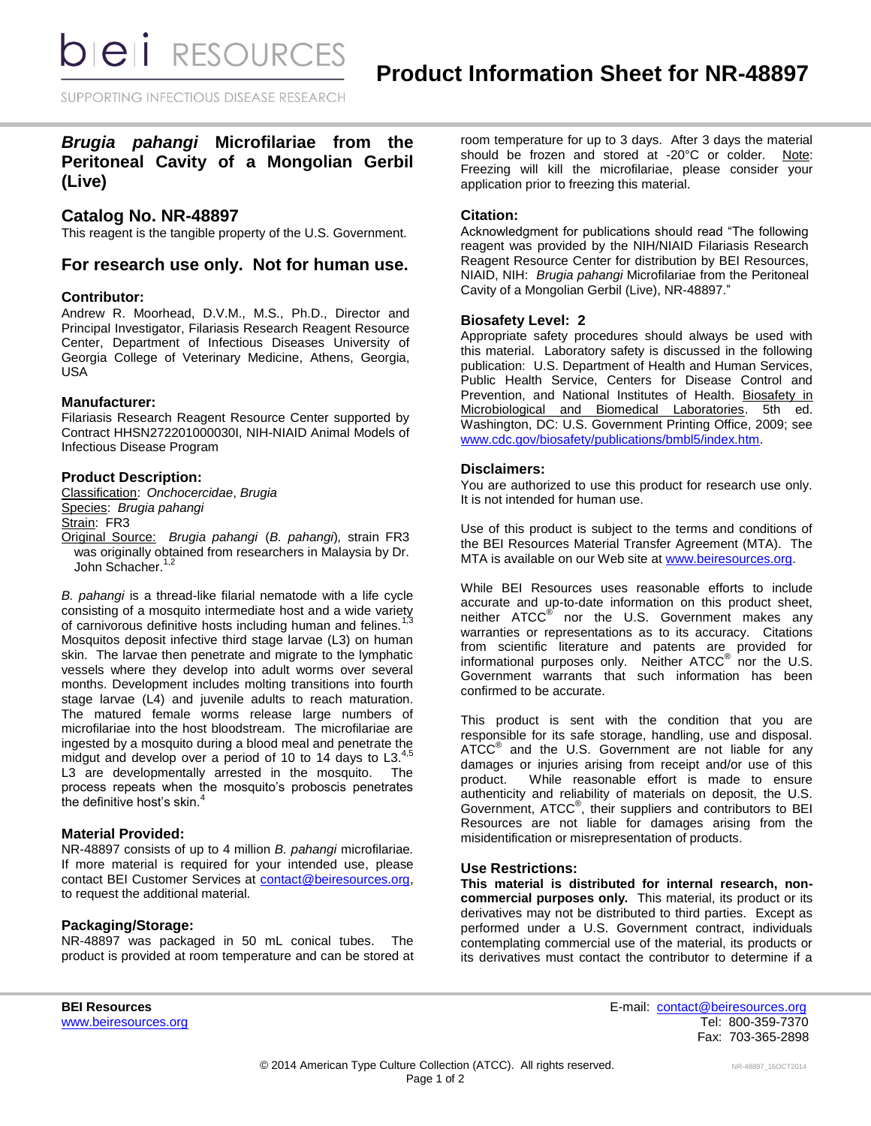*DIEI RESOURCES* 

# *Brugia pahangi* **Microfilariae from the Peritoneal Cavity of a Mongolian Gerbil (Live)**

# **Catalog No. NR-48897**

This reagent is the tangible property of the U.S. Government.

# **For research use only. Not for human use.**

#### **Contributor:**

Andrew R. Moorhead, D.V.M., M.S., Ph.D., Director and Principal Investigator, Filariasis Research Reagent Resource Center, Department of Infectious Diseases University of Georgia College of Veterinary Medicine, Athens, Georgia, USA

#### **Manufacturer:**

Filariasis Research Reagent Resource Center supported by Contract HHSN272201000030I, NIH-NIAID Animal Models of Infectious Disease Program

## **Product Description:**

Classification: *Onchocercidae*, *Brugia* Species: *Brugia pahangi* Strain: FR3

Original Source: *Brugia pahangi* (*B. pahangi*)*,* strain FR3

was originally obtained from researchers in Malaysia by Dr. John Schacher.<sup>1,2</sup>

*B. pahangi* is a thread-like filarial nematode with a life cycle consisting of a mosquito intermediate host and a wide variety of carnivorous definitive hosts including human and felines.<sup>1</sup> Mosquitos deposit infective third stage larvae (L3) on human skin. The larvae then penetrate and migrate to the lymphatic vessels where they develop into adult worms over several months. Development includes molting transitions into fourth stage larvae (L4) and juvenile adults to reach maturation. The matured female worms release large numbers of microfilariae into the host bloodstream. The microfilariae are ingested by a mosquito during a blood meal and penetrate the midgut and develop over a period of 10 to 14 days to  $L3.^{4,5}$ L3 are developmentally arrested in the mosquito. The process repeats when the mosquito's proboscis penetrates the definitive host's skin.<sup>4</sup>

## **Material Provided:**

NR-48897 consists of up to 4 million *B. pahangi* microfilariae*.*  If more material is required for your intended use, please contact BEI Customer Services at [contact@beiresources.org,](mailto:contact@beiresources.org) to request the additional material*.*

# **Packaging/Storage:**

NR-48897 was packaged in 50 mL conical tubes. The product is provided at room temperature and can be stored at room temperature for up to 3 days. After 3 days the material should be frozen and stored at -20°C or colder. Note: Freezing will kill the microfilariae, please consider your application prior to freezing this material.

#### **Citation:**

Acknowledgment for publications should read "The following reagent was provided by the NIH/NIAID Filariasis Research Reagent Resource Center for distribution by BEI Resources, NIAID, NIH: *Brugia pahangi* Microfilariae from the Peritoneal Cavity of a Mongolian Gerbil (Live), NR-48897."

#### **Biosafety Level: 2**

Appropriate safety procedures should always be used with this material. Laboratory safety is discussed in the following publication: U.S. Department of Health and Human Services, Public Health Service, Centers for Disease Control and Prevention, and National Institutes of Health. Biosafety in Microbiological and Biomedical Laboratories. 5th ed. Washington, DC: U.S. Government Printing Office, 2009; see [www.cdc.gov/biosafety/publications/bmbl5/index.htm.](http://www.cdc.gov/biosafety/publications/bmbl5/index.htm)

## **Disclaimers:**

You are authorized to use this product for research use only. It is not intended for human use.

Use of this product is subject to the terms and conditions of the BEI Resources Material Transfer Agreement (MTA). The MTA is available on our Web site at [www.beiresources.org.](http://www.beiresources.org/)

While BEI Resources uses reasonable efforts to include accurate and up-to-date information on this product sheet, neither ATCC<sup>®</sup> nor the U.S. Government makes any warranties or representations as to its accuracy. Citations from scientific literature and patents are provided for informational purposes only. Neither  $\tt ATCC^@$  nor the U.S. Government warrants that such information has been confirmed to be accurate.

This product is sent with the condition that you are responsible for its safe storage, handling, use and disposal. ATCC<sup>®</sup> and the U.S. Government are not liable for any damages or injuries arising from receipt and/or use of this product. While reasonable effort is made to ensure authenticity and reliability of materials on deposit, the U.S. Government, ATCC® , their suppliers and contributors to BEI Resources are not liable for damages arising from the misidentification or misrepresentation of products.

## **Use Restrictions:**

**This material is distributed for internal research, noncommercial purposes only.** This material, its product or its derivatives may not be distributed to third parties. Except as performed under a U.S. Government contract, individuals contemplating commercial use of the material, its products or its derivatives must contact the contributor to determine if a

**BEI Resources** E-mail: [contact@beiresources.org](mailto:contact@beiresources.org) [www.beiresources.org](http://www.beiresources.org/)Tel: 800-359-7370 Fax: 703-365-2898